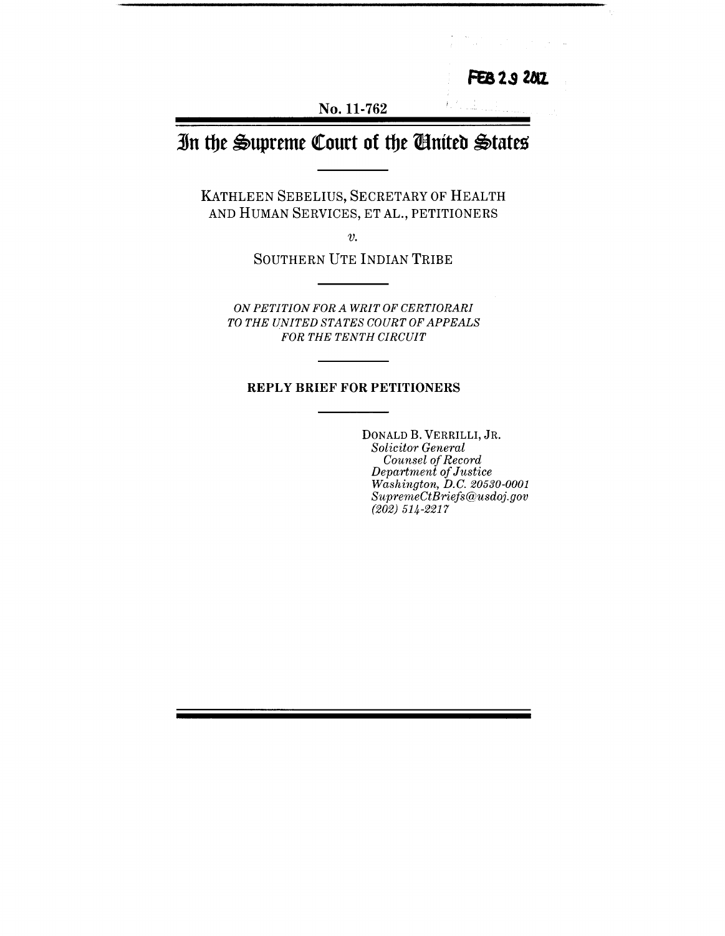**FEB 2.9 2012** 

No. 11-762

## $\mathfrak{In}$  the Supreme Court of the *Contee States*

KATHLEEN SEBELIUS, SECRETARY OF HEALTH AND HUMAN SERVICES, ET AL., PETITIONERS

 $v_{\cdot}$ 

SOUTHERN UTE INDIAN TRIBE

*ON PETITION FOR A WRIT OF CERTIORARI TO THE UNITED STATES COURT OF APPEALS FOR THE TENTH CIRCUIT*

### **REPLY BRIEF FOR PETITIONERS**

DONALD B. VERRILLI, JR. *Solicitor General Counsel of Record Department of Justice Washington, D.C. 20530-0001*  $SupremeCtBriefs@usdoj.go$ *(202) 514-2217*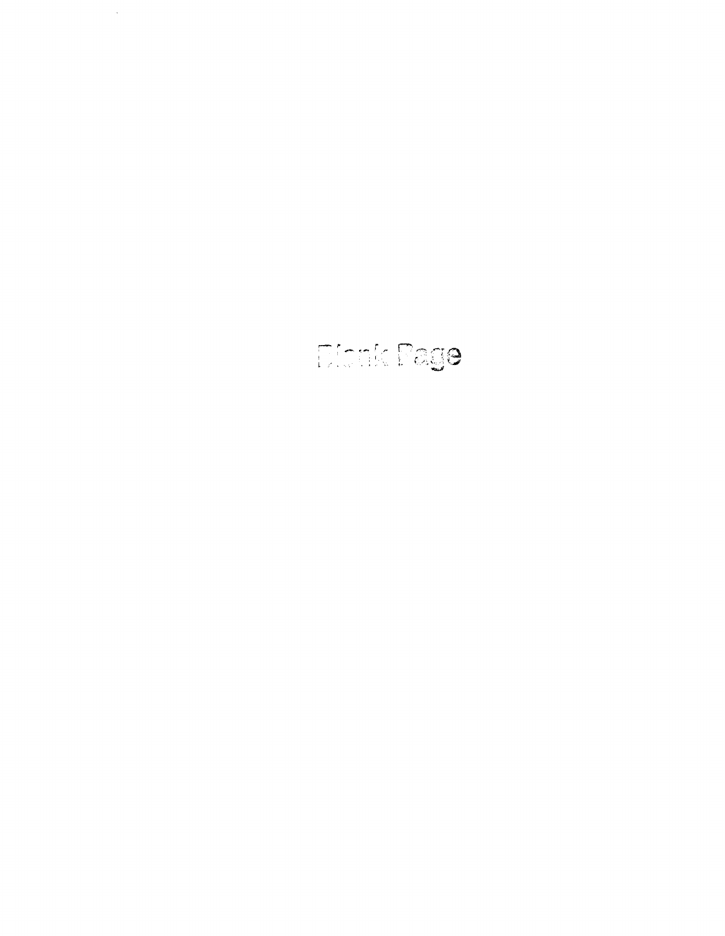# Dionk Page

 $\mathcal{A}$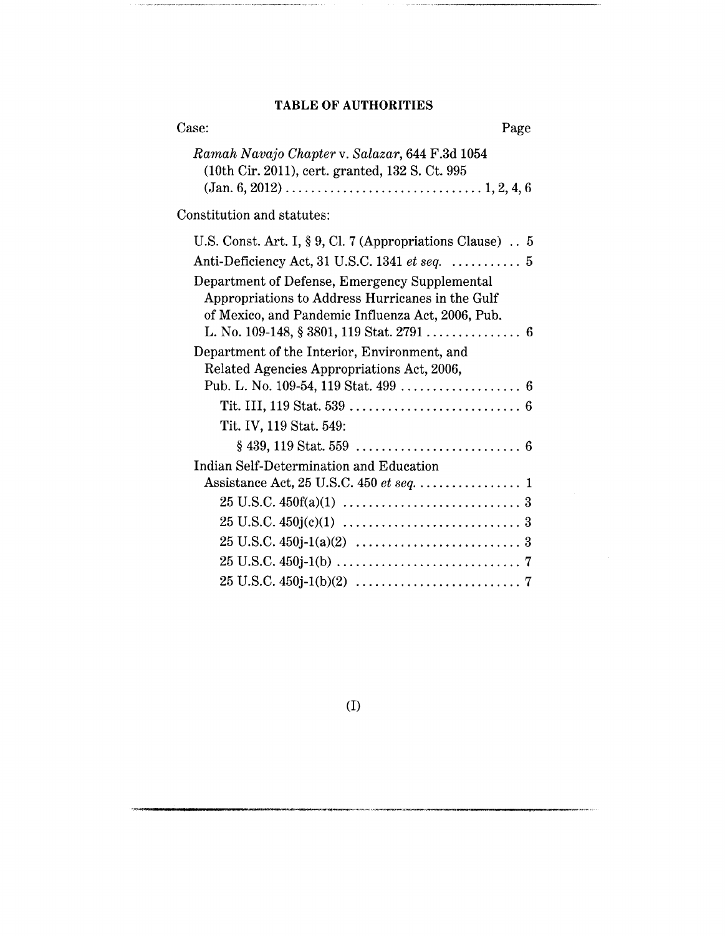### **TABLE OF AUTHORITIES**

 $\label{eq:1} \mathcal{L}_{\mathcal{A}}(\mathcal{A}) = \mathcal{L}_{\mathcal{A}}(\mathcal{A}) = \mathcal{L}_{\mathcal{A}}(\mathcal{A}) = \mathcal{L}_{\mathcal{A}}(\mathcal{A}) = \mathcal{L}_{\mathcal{A}}(\mathcal{A}) = \mathcal{L}_{\mathcal{A}}(\mathcal{A})$ 

\_\_\_\_\_\_\_\_\_

.<br>Martxoaren 14

.<br>Nationalpois de primer Pija - - - e e 100 e - 100

 $\label{eq:1} \frac{1}{2} \left( \frac{1}{2} \left( \frac{1}{2} \left( \frac{1}{2} \left( \frac{1}{2} \left( \frac{1}{2} \left( \frac{1}{2} \left( \frac{1}{2} \left( \frac{1}{2} \left( \frac{1}{2} \left( \frac{1}{2} \left( \frac{1}{2} \left( \frac{1}{2} \left( \frac{1}{2} \right) \right) - \frac{1}{2} \left( \frac{1}{2} \left( \frac{1}{2} \left( \frac{1}{2} \right) \right) - \frac{1}{2} \left( \frac{1}{2} \left( \frac{1}{$ 

| Case:<br>Page                                                                                                                                                                                                                                                                                |
|----------------------------------------------------------------------------------------------------------------------------------------------------------------------------------------------------------------------------------------------------------------------------------------------|
| Ramah Navajo Chapter v. Salazar, 644 F.3d 1054<br>(10th Cir. 2011), cert. granted, 132 S. Ct. 995                                                                                                                                                                                            |
| Constitution and statutes:                                                                                                                                                                                                                                                                   |
| U.S. Const. Art. I, § 9, Cl. 7 (Appropriations Clause) . 5<br>Anti-Deficiency Act, 31 U.S.C. 1341 et seq. $\ldots \ldots \ldots 5$<br>Department of Defense, Emergency Supplemental<br>Appropriations to Address Hurricanes in the Gulf<br>of Mexico, and Pandemic Influenza Act, 2006, Pub. |
|                                                                                                                                                                                                                                                                                              |
| Department of the Interior, Environment, and<br>Related Agencies Appropriations Act, 2006,                                                                                                                                                                                                   |
|                                                                                                                                                                                                                                                                                              |
|                                                                                                                                                                                                                                                                                              |
| Tit. IV, 119 Stat. 549:                                                                                                                                                                                                                                                                      |
|                                                                                                                                                                                                                                                                                              |
| Indian Self-Determination and Education                                                                                                                                                                                                                                                      |
|                                                                                                                                                                                                                                                                                              |
|                                                                                                                                                                                                                                                                                              |
|                                                                                                                                                                                                                                                                                              |
|                                                                                                                                                                                                                                                                                              |
|                                                                                                                                                                                                                                                                                              |
|                                                                                                                                                                                                                                                                                              |

(I)

.<br>2009 - Alfred Andrew Marie (1983 - 1994), electronic de la contentidad de la contentidad de la Carlo Carlo Ca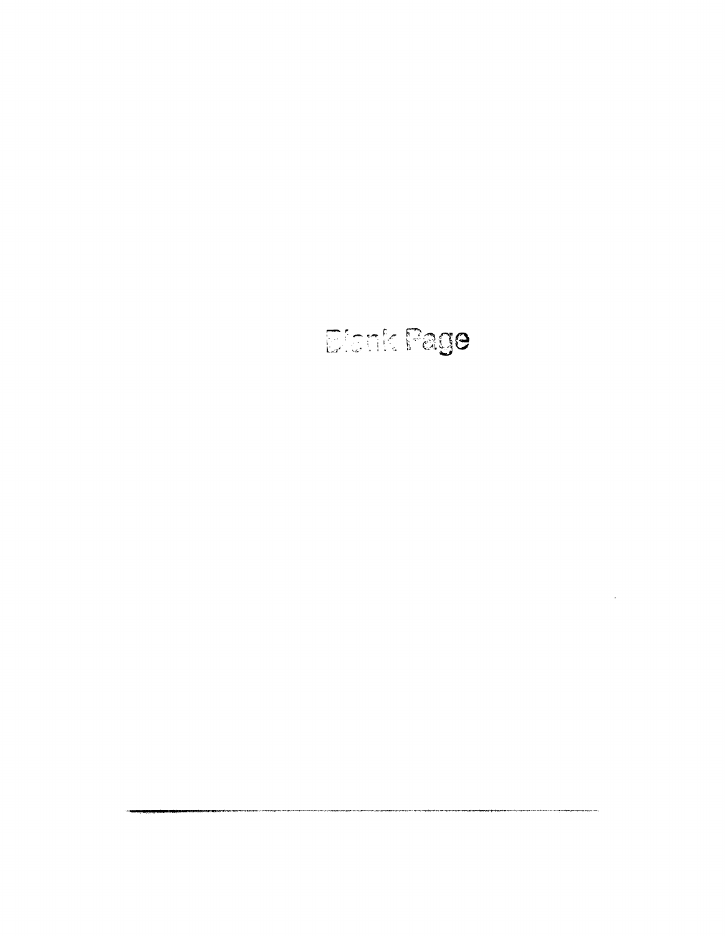# **Elenk Page**

 $\cdot$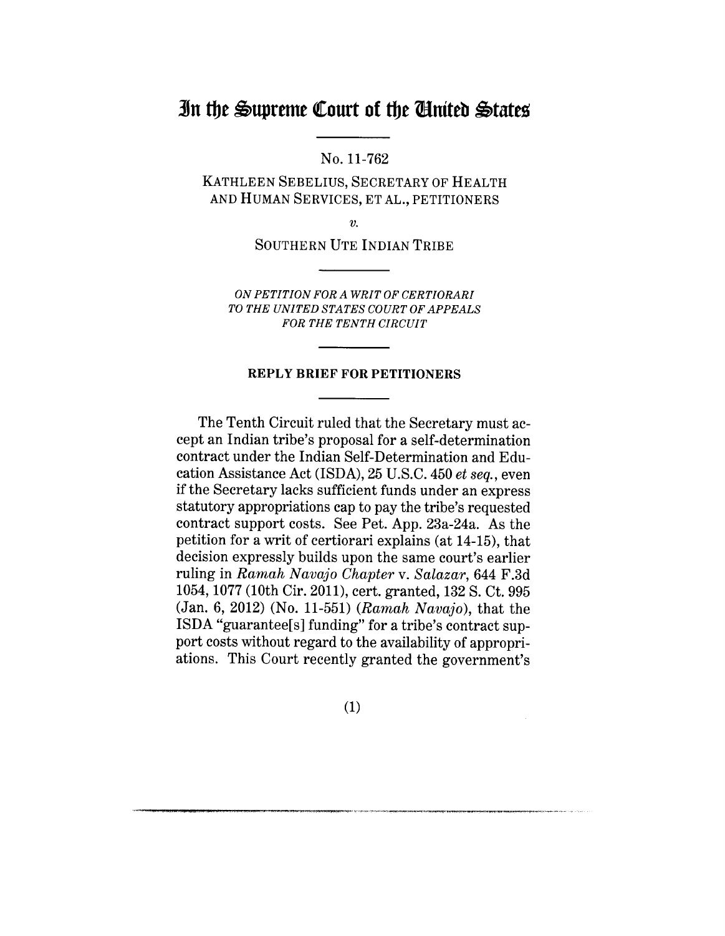## *<u>In the Supreme Court of the Cinited States</u>*

**No. 11-762**

KATHLEEN SEBELIUS, SECRETARY OF HEALTH AND HUMAN SERVICES, ET AL., PETITIONERS

 $\overline{v}$ .

SOUTHERN UTE INDIAN TRIBE

*ON PETITION FOR A WRIT OF CERTIORARI TO THE UNITED STATES COURT OF APPEALS FOR THE TENTH CIRCUIT*

#### **REPLY BRIEF FOR PETITIONERS**

The Tenth Circuit ruled that the Secretary must accept an Indian tribe's proposal for a self-determination contract under the Indian Self-Determination and Education Assistance Act (ISDA), 25 U.S.C. 450 *et seq.,* even if the Secretary lacks sufficient funds under an express statutory appropriations cap to pay the tribe's requested contract support costs. See Pet. App. 23a-24a. As the petition for a writ of certiorari explains (at 14-15), that decision expressly builds upon the same court's earlier ruling in *Ramah Navajo Chapter v. Salazar,* 644 F.3d 1054, 1077 (10th Cir. 2011), cert. granted, 132 S. Ct. 995 (Jan. 6, 2012) (No. 11-551) *(Ramah Navajo),* that the ISDA "guarantee[s] funding" for a tribe's contract support costs without regard to the availability of appropriations. This Court recently granted the government's

(1)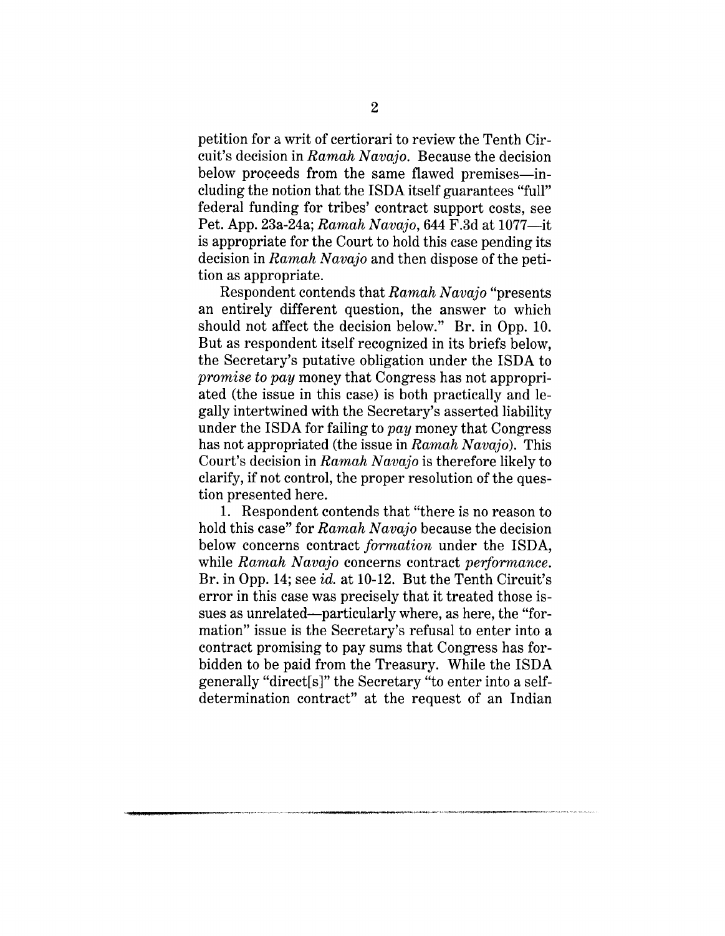petition for a writ of certiorari to review the Tenth Circuit's decision in *Ramah Navajo.* Because the decision below proceeds from the same flawed premises—including the notion that the ISDA itself guarantees "full" federal funding for tribes' contract support costs, see Pet. App. 23a-24a; *Ramah Navajo,* 644 F.3d at 1077--it is appropriate for the Court to hold this case pending its decision in *Ramah Navajo* and then dispose of the petition as appropriate.

Respondent contends that *Ramah Navajo* "presents an entirely different question, the answer to which should not affect the decision below." Br. in Opp. 10. But as respondent itself recognized in its briefs below, the Secretary's putative obligation under the ISDA to *promise to pay* money that Congress has not appropriated (the issue in this case) is both practically and legally intertwined with the Secretary's asserted liability under the ISDA for failing to *pay* money that Congress has not appropriated (the issue in *Ramah Navajo).* This Court's decision in *Ramah Navajo* is therefore likely to clarify, if not control, the proper resolution of the question presented here.

1. Respondent contends that "there is no reason to hold this case" for *Ramah Navajo* because the decision below concerns contract *formation* under the ISDA, while *Ramah Navajo* concerns contract *performance.* Br. in Opp. 14; see *id.* at 10-12. But the Tenth Circuit's error in this case was precisely that it treated those issues as unrelated—particularly where, as here, the "formation" issue is the Secretary's refusal to enter into a contract promising to pay sums that Congress has forbidden to be paid from the Treasury. While the ISDA generally "direct[s]" the Secretary "to enter into a selfdetermination contract" at the request of an Indian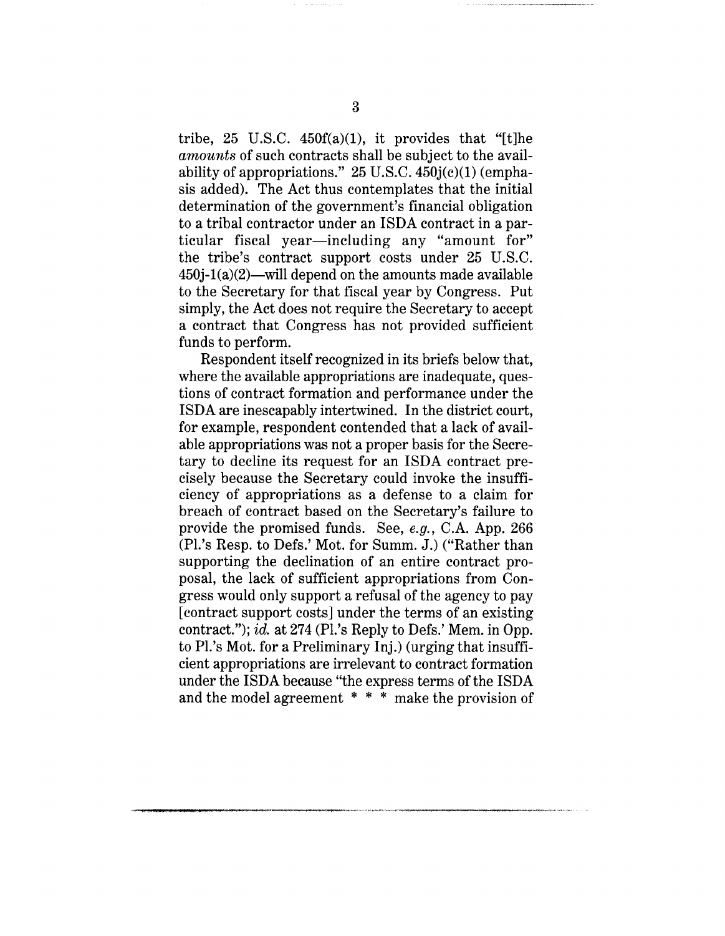tribe,  $25 \text{ U.S.C. } 450 \text{ f(a)}(1)$ , it provides that "[t]he *amounts* of such contracts shall be subject to the availability of appropriations."  $25$  U.S.C.  $450j(c)(1)$  (emphasis added). The Act thus contemplates that the initial determination of the government's financial obligation to a tribal contractor under an ISDA contract in a particular fiscal year—including any "amount for" the tribe's contract support costs under 25 U.S.C.  $450j-1(a)(2)$ —will depend on the amounts made available to the Secretary for that fiscal year by Congress. Put simply, the Act does not require the Secretary to accept a contract that Congress has not provided sufficient funds to perform.

Respondent itself recognized in its briefs below that, where the available appropriations are inadequate, questions of contract formation and performance under the ISDA are inescapably intertwined. In the district court, for example, respondent contended that a lack of available appropriations was not a proper basis for the Secretary to decline its request for an ISDA contract precisely because the Secretary could invoke the insufficiency of appropriations as a defense to a claim for breach of contract based on the Secretary's failure to provide the promised funds. See, *e.g.,* C.A. App. 266 (Pl.'s Resp. to Defs.' Mot. for Summ. J.) ("Rather than supporting the declination of an entire contract proposal, the lack of sufficient appropriations from Congress would only support a refusal of the agency to pay [contract support costs] under the terms of an existing contract."); *id.* at 274 (Pl.'s Reply to Defs.' Mem. in Opp. to Pl.'s Mot. for a Preliminary Inj.) (urging that insufficient appropriations are irrelevant to contract formation under the ISDA because "the express terms of the ISDA and the model agreement \* \* \* make the provision of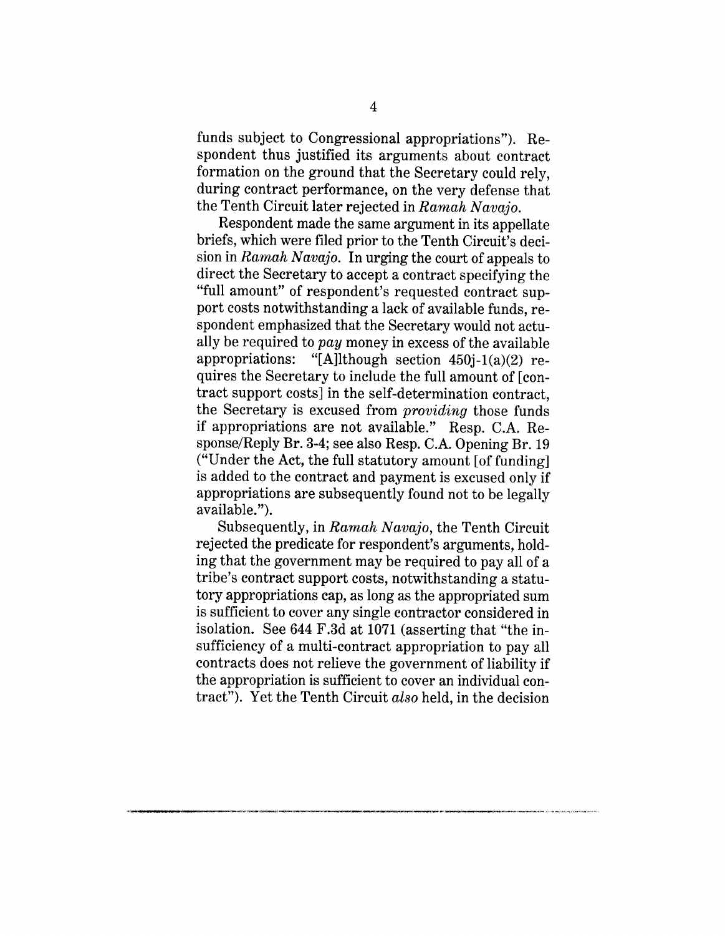funds subject to Congressional appropriations"). Respondent thus justified its arguments about contract formation on the ground that the Secretary could rely, during contract performance, on the very defense that the Tenth Circuit later rejected in *Ramah Navajo.*

Respondent made the same argument in its appellate briefs, which were filed prior to the Tenth Circuit's decision in *Ramah Navajo.* In urging the court of appeals to direct the Secretary to accept a contract specifying the "full amount" of respondent's requested contract support costs notwithstanding a lack of available funds, respondent emphasized that the Secretary would not actually be required to *pay* money in excess of the available appropriations: "[A]lthough section  $450j-1(a)(2)$  requires the Secretary to include the full amount of [contract support costs] in the self-determination contract, the Secretary is excused from *providing* those funds if appropriations are not available." Resp. C.A. Response/Reply Br. 3-4; see also Resp. C.A. Opening Br. 19 ("Under the Act, the full statutory amount [of funding] is added to the contract and payment is excused only if appropriations are subsequently found not to be legally available.").

Subsequently, in *Ramah Navajo,* the Tenth Circuit rejected the predicate for respondent's arguments, holding that the government may be required to pay all of a tribe's contract support costs, notwithstanding a statutory appropriations cap, as long as the appropriated sum is sufficient to cover any single contractor considered in isolation. See 644 F.3d at 1071 (asserting that "the insufficiency of a multi-contract appropriation to pay all contracts does not relieve the government of liability if the appropriation is sufficient to cover an individual contract"). Yet the Tenth Circuit *also* held, in the decision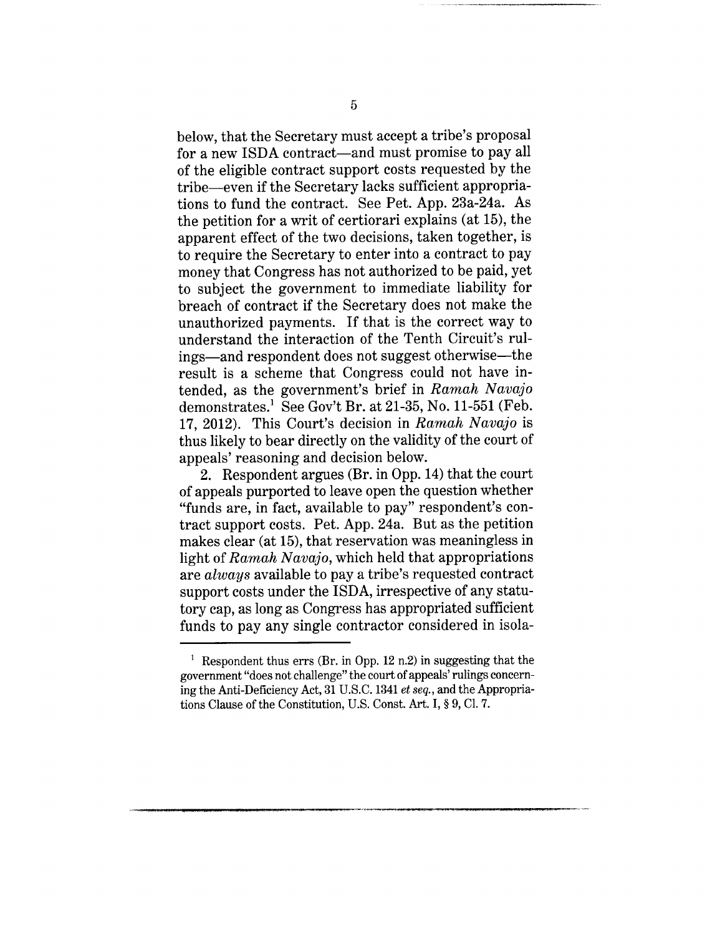below, that the Secretary must accept a tribe's proposal for a new ISDA contract—and must promise to pay all of the eligible contract support costs requested by the tribe--even if the Secretary lacks sufficient appropriations to fund the contract. See Pet. App. 23a-24a. As the petition for a writ of certiorari explains (at 15), the apparent effect of the two decisions, taken together, is to require the Secretary to enter into a contract to pay money that Congress has not authorized to be paid, yet to subject the government to immediate liability for breach of contract if the Secretary does not make the unauthorized payments. If that is the correct way to understand the interaction of the Tenth Circuit's rulings-and respondent does not suggest otherwise--the result is a scheme that Congress could not have intended, as the government's brief in *Ramah Navajo* demonstrates.<sup>1</sup> See Gov't Br. at 21-35, No. 11-551 (Feb. 17, 2012). This Court's decision in *Ramah Navajo* is thus likely to bear directly on the validity of the court of appeals' reasoning and decision below.

2. Respondent argues (Br. in Opp. 14) that the court of appeals purported to leave open the question whether "funds are, in fact, available to pay" respondent's contract support costs. Pet. App. 24a. But as the petition makes clear (at 15), that reservation was meaningless in light of *Ramah Navajo,* which held that appropriations are *always* available to pay a tribe's requested contract support costs under the ISDA, irrespective of any statutory cap, as long as Congress has appropriated sufficient funds to pay any single contractor considered in isola-

<sup>&</sup>lt;sup>1</sup> Respondent thus errs (Br. in Opp. 12 n.2) in suggesting that the government "does not challenge" the court of appeals' rulings concerning the Anti-Deficiency Act, 31 U.S.C. 1341 *et seq.,* and the Appropriations Clause of the Constitution, U.S. Const. Art. I, § 9, C1. 7.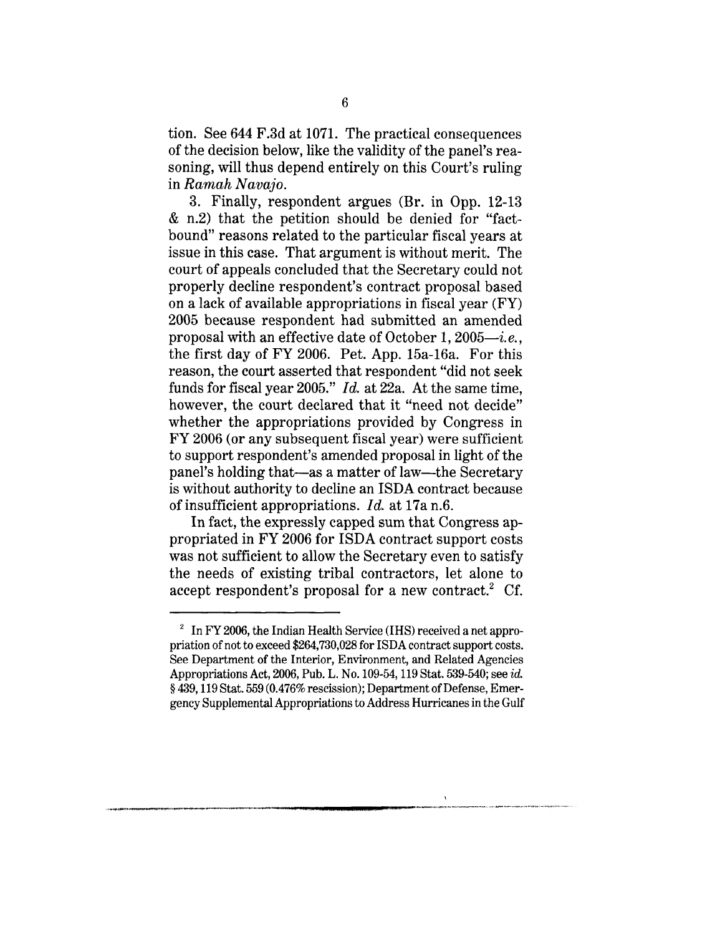tion. See 644 F.3d at 1071. The practical consequences of the decision below, like the validity of the panel's reasoning, will thus depend entirely on this Court's ruling in *Ramah Navajo.*

3. Finally, respondent argues (Br. in Opp. 12-13 & n.2) that the petition should be denied for "factbound" reasons related to the particular fiscal years at issue in this case. That argument is without merit. The court of appeals concluded that the Secretary could not properly decline respondent's contract proposal based on a lack of available appropriations in fiscal year (FY) 2005 because respondent had submitted an amended proposal with an effective date of October 1, 2005 $-i.e.,$ the first day of FY 2006. Pet. App. 15a-16a. For this reason, the court asserted that respondent "did not seek funds for fiscal year 2005." *Id.* at 22a. At the same time, however, the court declared that it "need not decide" whether the appropriations provided by Congress in FY 2006 (or any subsequent fiscal year) were sufficient to support respondent's amended proposal in light of the panel's holding that—as a matter of law—the Secretary is without authority to decline an ISDA contract because of insufficient appropriations. *Id.* at 17a n.6.

In fact, the expressly capped sum that Congress appropriated in FY 2006 for ISDA contract support costs was not sufficient to allow the Secretary even to satisfy the needs of existing tribal contractors, let alone to accept respondent's proposal for a new contract.<sup>2</sup> Cf.

 $2\;\;$  In FY 2006, the Indian Health Service (IHS) received a net appropriation of not to exceed \$264,730,028 for ISDA contract support costs. See Department of the Interior, Environment, and Related Agencies Appropriations Act, 2006, Pub. L. No. 109-54, 119 Stat. 539-540; see *id.* § 439, 119 Stat. 559 (0.476% rescission); Department of Defense, Emergency Supplemental Appropriations to Address Hurricanes in the Gulf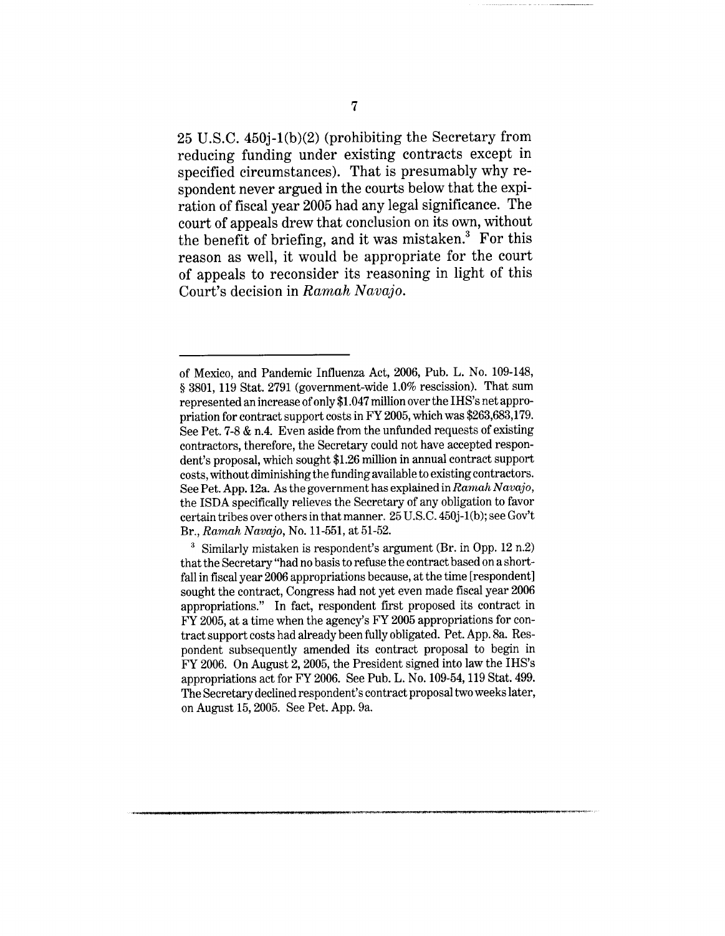25 U.S.C. 450j-l(b)(2) (prohibiting the Secretary from reducing funding under existing contracts except in specified circumstances). That is presumably why respondent never argued in the courts below that the expiration of fiscal year 2005 had any legal significance. The court of appeals drew that conclusion on its own, without the benefit of briefing, and it was mistaken. $3$  For this reason as well, it would be appropriate for the court of appeals to reconsider its reasoning in light of this Court's decision in *Ramah Navajo.*

of Mexico, and Pandemic Influenza Act, 2006, Pub. L. No. 109-148, § 3801, 119 Stat. 2791 (government-wide 1.0% rescission). That sum represented an increase of only \$1.047 million over the IHS's net appropriation for contract support costs in FY 2005, which was \$263,683,179. See Pet. 7-8 & n.4. Even aside from the unfunded requests of existing contractors, therefore, the Secretary could not have accepted respondent's proposal, which sought \$1.26 million in annual contract support costs, without diminishing the funding available to existing contractors. See Pet. App. 12a. As the government has explained in *Ramah Navajo,* the ISDA specifically relieves the Secretary of any obligation to favor certain tribes over others in that manner. 25 U.S.C. 450j-l(b); see Gov't Br., *Ramah Navajo,* No. 11-551, at 51-52.

<sup>3</sup> Similarly mistaken is respondent's argument (Br. in Opp. 12 n.2) that the Secretary"had no basis to refuse the contract based on a shortfall in fiscal year 2006 appropriations because, at the time [respondent] sought the contract, Congress had not yet even made fiscal year 2006 appropriations." In fact, respondent first proposed its contract in FY 2005, at a time when the agency's FY 2005 appropriations for contract support costs had already been fully obligated. Pet. App. 8a. Respondent subsequently amended its contract proposal to begin in FY 2006. On August 2, 2005, the President signed into law the IHS's appropriations act for FY 2006. See Pub. L. No. 109-54, 119 Stat. 499. The Secretary declined respondent's contract proposal two weeks later, on August 15, 2005. See Pet. App. 9a.